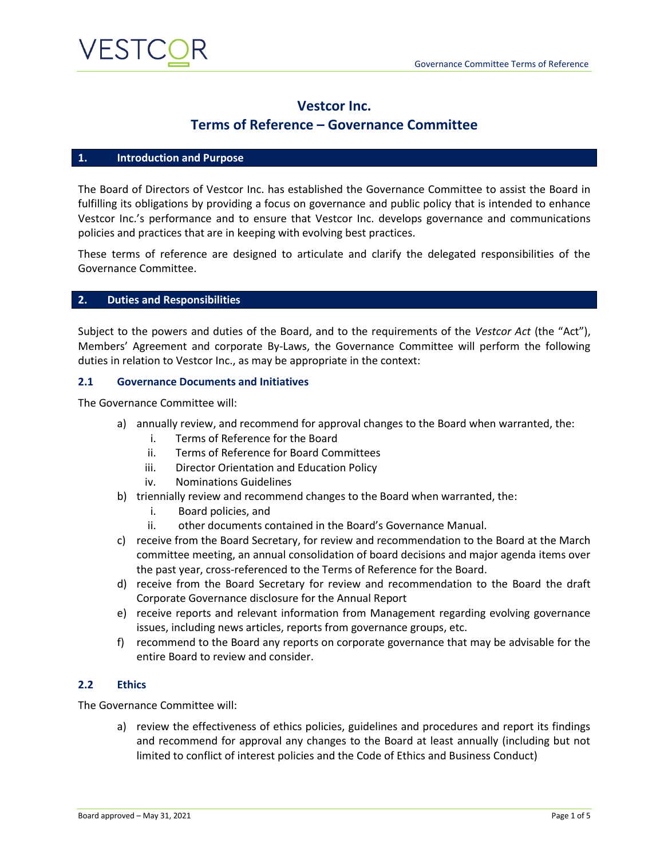

# **Vestcor Inc.**

# **Terms of Reference – Governance Committee**

#### **1. Introduction and Purpose**

The Board of Directors of Vestcor Inc. has established the Governance Committee to assist the Board in fulfilling its obligations by providing a focus on governance and public policy that is intended to enhance Vestcor Inc.'s performance and to ensure that Vestcor Inc. develops governance and communications policies and practices that are in keeping with evolving best practices.

These terms of reference are designed to articulate and clarify the delegated responsibilities of the Governance Committee.

#### **2. Duties and Responsibilities**

Subject to the powers and duties of the Board, and to the requirements of the *Vestcor Act* (the "Act"), Members' Agreement and corporate By-Laws, the Governance Committee will perform the following duties in relation to Vestcor Inc., as may be appropriate in the context:

#### **2.1 Governance Documents and Initiatives**

The Governance Committee will:

- a) annually review, and recommend for approval changes to the Board when warranted, the:
	- i. Terms of Reference for the Board
	- ii. Terms of Reference for Board Committees
	- iii. Director Orientation and Education Policy
	- iv. Nominations Guidelines
- b) triennially review and recommend changes to the Board when warranted, the:
	- i. Board policies, and
	- ii. other documents contained in the Board's Governance Manual.
- c) receive from the Board Secretary, for review and recommendation to the Board at the March committee meeting, an annual consolidation of board decisions and major agenda items over the past year, cross-referenced to the Terms of Reference for the Board.
- d) receive from the Board Secretary for review and recommendation to the Board the draft Corporate Governance disclosure for the Annual Report
- e) receive reports and relevant information from Management regarding evolving governance issues, including news articles, reports from governance groups, etc.
- f) recommend to the Board any reports on corporate governance that may be advisable for the entire Board to review and consider.

#### **2.2 Ethics**

The Governance Committee will:

a) review the effectiveness of ethics policies, guidelines and procedures and report its findings and recommend for approval any changes to the Board at least annually (including but not limited to conflict of interest policies and the Code of Ethics and Business Conduct)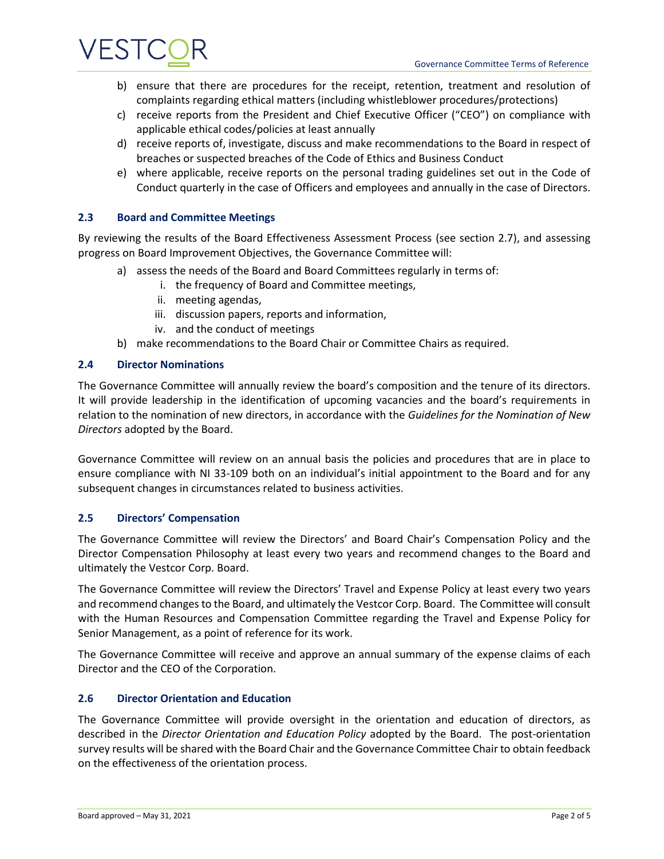

- b) ensure that there are procedures for the receipt, retention, treatment and resolution of complaints regarding ethical matters (including whistleblower procedures/protections)
- c) receive reports from the President and Chief Executive Officer ("CEO") on compliance with applicable ethical codes/policies at least annually
- d) receive reports of, investigate, discuss and make recommendations to the Board in respect of breaches or suspected breaches of the Code of Ethics and Business Conduct
- e) where applicable, receive reports on the personal trading guidelines set out in the Code of Conduct quarterly in the case of Officers and employees and annually in the case of Directors.

## **2.3 Board and Committee Meetings**

By reviewing the results of the Board Effectiveness Assessment Process (see section 2.7), and assessing progress on Board Improvement Objectives, the Governance Committee will:

- a) assess the needs of the Board and Board Committees regularly in terms of:
	- i. the frequency of Board and Committee meetings,
	- ii. meeting agendas,
	- iii. discussion papers, reports and information,
	- iv. and the conduct of meetings
- b) make recommendations to the Board Chair or Committee Chairs as required.

### **2.4 Director Nominations**

The Governance Committee will annually review the board's composition and the tenure of its directors. It will provide leadership in the identification of upcoming vacancies and the board's requirements in relation to the nomination of new directors, in accordance with the *Guidelines for the Nomination of New Directors* adopted by the Board.

Governance Committee will review on an annual basis the policies and procedures that are in place to ensure compliance with NI 33-109 both on an individual's initial appointment to the Board and for any subsequent changes in circumstances related to business activities.

### **2.5 Directors' Compensation**

The Governance Committee will review the Directors' and Board Chair's Compensation Policy and the Director Compensation Philosophy at least every two years and recommend changes to the Board and ultimately the Vestcor Corp. Board.

The Governance Committee will review the Directors' Travel and Expense Policy at least every two years and recommend changes to the Board, and ultimately the Vestcor Corp. Board. The Committee will consult with the Human Resources and Compensation Committee regarding the Travel and Expense Policy for Senior Management, as a point of reference for its work.

The Governance Committee will receive and approve an annual summary of the expense claims of each Director and the CEO of the Corporation.

### **2.6 Director Orientation and Education**

The Governance Committee will provide oversight in the orientation and education of directors, as described in the *Director Orientation and Education Policy* adopted by the Board. The post-orientation survey results will be shared with the Board Chair and the Governance Committee Chair to obtain feedback on the effectiveness of the orientation process.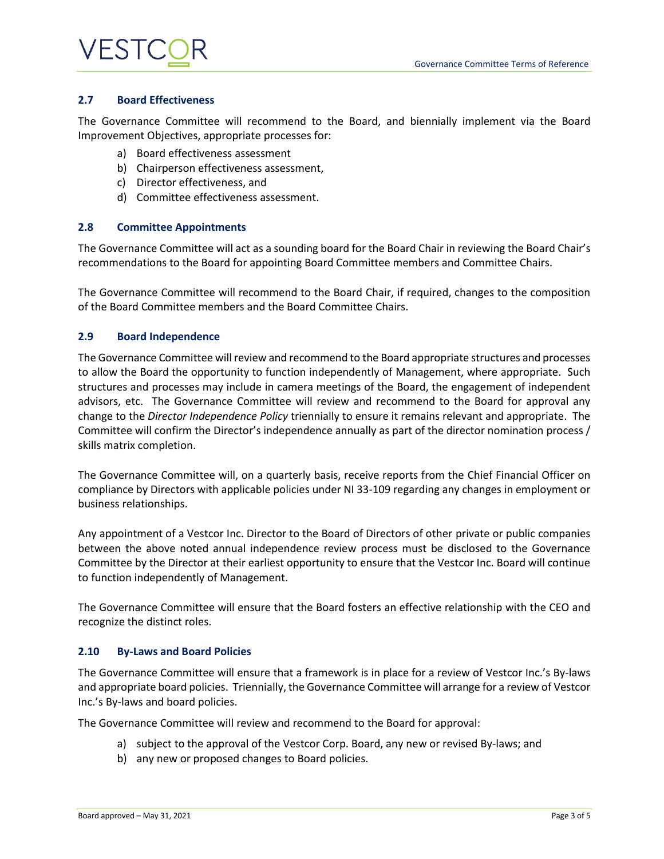# VESTC

## **2.7 Board Effectiveness**

The Governance Committee will recommend to the Board, and biennially implement via the Board Improvement Objectives, appropriate processes for:

- a) Board effectiveness assessment
- b) Chairperson effectiveness assessment,
- c) Director effectiveness, and
- d) Committee effectiveness assessment.

## **2.8 Committee Appointments**

The Governance Committee will act as a sounding board for the Board Chair in reviewing the Board Chair's recommendations to the Board for appointing Board Committee members and Committee Chairs.

The Governance Committee will recommend to the Board Chair, if required, changes to the composition of the Board Committee members and the Board Committee Chairs.

## **2.9 Board Independence**

The Governance Committee will review and recommend to the Board appropriate structures and processes to allow the Board the opportunity to function independently of Management, where appropriate. Such structures and processes may include in camera meetings of the Board, the engagement of independent advisors, etc. The Governance Committee will review and recommend to the Board for approval any change to the *Director Independence Policy* triennially to ensure it remains relevant and appropriate. The Committee will confirm the Director's independence annually as part of the director nomination process / skills matrix completion.

The Governance Committee will, on a quarterly basis, receive reports from the Chief Financial Officer on compliance by Directors with applicable policies under NI 33-109 regarding any changes in employment or business relationships.

Any appointment of a Vestcor Inc. Director to the Board of Directors of other private or public companies between the above noted annual independence review process must be disclosed to the Governance Committee by the Director at their earliest opportunity to ensure that the Vestcor Inc. Board will continue to function independently of Management.

The Governance Committee will ensure that the Board fosters an effective relationship with the CEO and recognize the distinct roles.

### **2.10 By-Laws and Board Policies**

The Governance Committee will ensure that a framework is in place for a review of Vestcor Inc.'s By-laws and appropriate board policies. Triennially, the Governance Committee will arrange for a review of Vestcor Inc.'s By-laws and board policies.

The Governance Committee will review and recommend to the Board for approval:

- a) subject to the approval of the Vestcor Corp. Board, any new or revised By-laws; and
- b) any new or proposed changes to Board policies.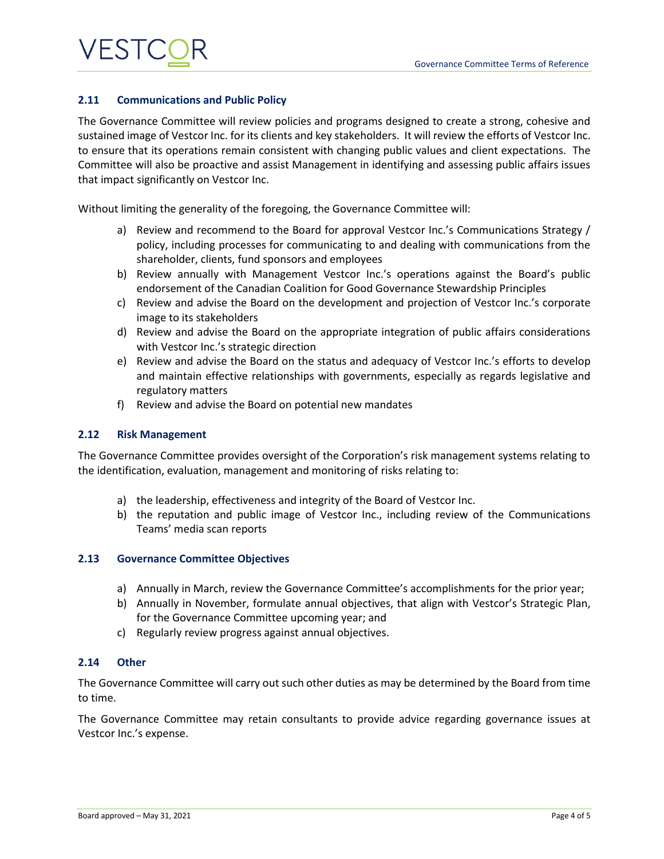# VESTC

## **2.11 Communications and Public Policy**

The Governance Committee will review policies and programs designed to create a strong, cohesive and sustained image of Vestcor Inc. for its clients and key stakeholders. It will review the efforts of Vestcor Inc. to ensure that its operations remain consistent with changing public values and client expectations. The Committee will also be proactive and assist Management in identifying and assessing public affairs issues that impact significantly on Vestcor Inc.

Without limiting the generality of the foregoing, the Governance Committee will:

- a) Review and recommend to the Board for approval Vestcor Inc.'s Communications Strategy / policy, including processes for communicating to and dealing with communications from the shareholder, clients, fund sponsors and employees
- b) Review annually with Management Vestcor Inc.'s operations against the Board's public endorsement of the Canadian Coalition for Good Governance Stewardship Principles
- c) Review and advise the Board on the development and projection of Vestcor Inc.'s corporate image to its stakeholders
- d) Review and advise the Board on the appropriate integration of public affairs considerations with Vestcor Inc.'s strategic direction
- e) Review and advise the Board on the status and adequacy of Vestcor Inc.'s efforts to develop and maintain effective relationships with governments, especially as regards legislative and regulatory matters
- f) Review and advise the Board on potential new mandates

## **2.12 Risk Management**

The Governance Committee provides oversight of the Corporation's risk management systems relating to the identification, evaluation, management and monitoring of risks relating to:

- a) the leadership, effectiveness and integrity of the Board of Vestcor Inc.
- b) the reputation and public image of Vestcor Inc., including review of the Communications Teams' media scan reports

### **2.13 Governance Committee Objectives**

- a) Annually in March, review the Governance Committee's accomplishments for the prior year;
- b) Annually in November, formulate annual objectives, that align with Vestcor's Strategic Plan, for the Governance Committee upcoming year; and
- c) Regularly review progress against annual objectives.

### **2.14 Other**

The Governance Committee will carry out such other duties as may be determined by the Board from time to time.

The Governance Committee may retain consultants to provide advice regarding governance issues at Vestcor Inc.'s expense.